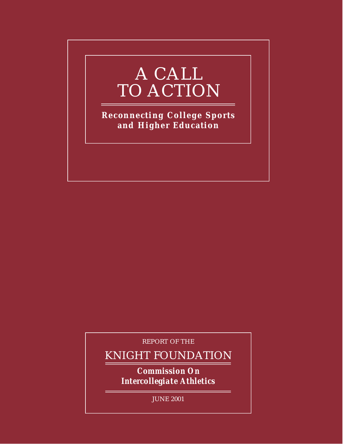

REPORT OF THE

# KNIGHT FOUNDATION

*Commission On*  **Intercollegiate Athletics** 

JUNE 2001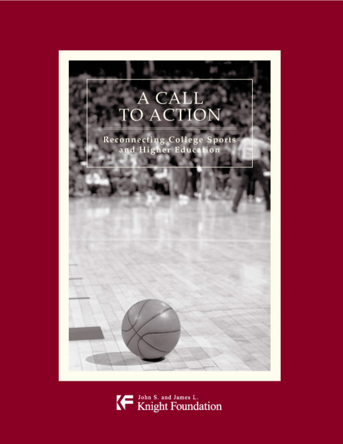

K Knight Foundation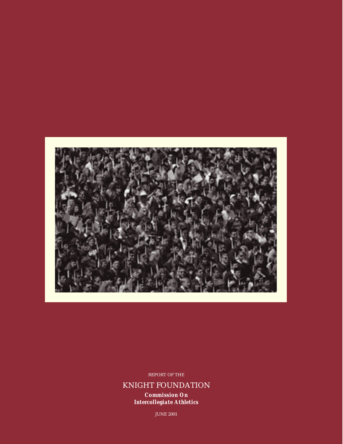

REPORT OF THE

# **KNIGHT FOUNDATION**

*Commission On Intercollegiate Athletics* 

JUNE 2001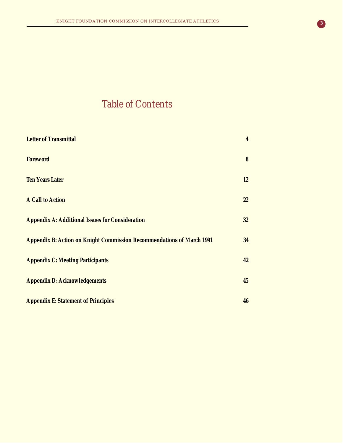# *Table of Contents*

| <b>Letter of Transmittal</b>                                                 | $\overline{\mathbf{4}}$ |
|------------------------------------------------------------------------------|-------------------------|
| <b>Foreword</b>                                                              | 8                       |
| <b>Ten Years Later</b>                                                       | 12                      |
| <b>A Call to Action</b>                                                      | 22                      |
| <b>Appendix A: Additional Issues for Consideration</b>                       | 32                      |
| <b>Appendix B: Action on Knight Commission Recommendations of March 1991</b> | 34                      |
| <b>Appendix C: Meeting Participants</b>                                      | 42                      |
| <b>Appendix D: Acknowledgements</b>                                          | 45                      |
| <b>Appendix E: Statement of Principles</b>                                   | 46                      |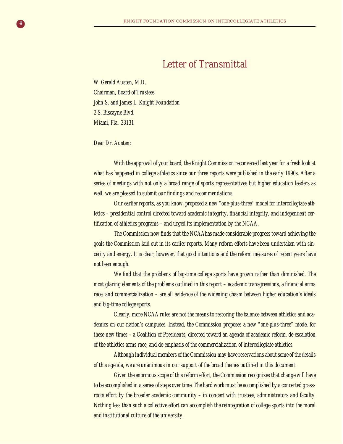# *Letter of Transmittal*

*W. Gerald Austen, M.D. Chairman, Board of Trustees John S. and James L. Knight Foundation 2 S. Biscayne Blvd. Miami, Fla. 33131*

*Dear Dr. Austen:*

**4**

*With the approval of your board, the Knight Commission reconvened last year for a fresh look at what has happened in college athletics since our three reports were published in the early 1990s. After a series of meetings with not only a broad range of sports representatives but higher education leaders as well, we are pleased to submit our findings and recommendations.*

*Our earlier reports, as you know, proposed a new "one-plus-three" model for intercollegiate athletics – presidential control directed toward academic integrity, financial integrity, and independent certification of athletics programs – and urged its implementation by the NCAA.*

*The Commission now finds that the NCAAhas made considerable progress toward achieving the goals the Commission laid out in its earlier reports. Many reform efforts have been undertaken with sincerity and energy. It is clear, however, that good intentions and the reform measures of recent years have not been enough.* 

*We find that the problems of big-time college sports have grown rather than diminished. The most glaring elements of the problems outlined in this report – academic transgressions, a financial arms race, and commercialization – are all evidence of the widening chasm between higher education's ideals and big-time college sports.*

*Clearly, more NCAA rules are not the means to restoring the balance between athletics and academics on our nation's campuses. Instead, the Commission proposes a new "one-plus-three" model for these new times – a Coalition of Presidents, directed toward an agenda of academic reform, de-escalation of the athletics arms race, and de-emphasis of the commercialization of intercollegiate athletics.* 

*Although individual members of the Commission may have reservations about some of the details of this agenda, we are unanimous in our support of the broad themes outlined in this document.*

*Given the enormous scope of this reform effort, the Commission recognizes that change will have to be accomplished in a series of steps over time. The hard work must be accomplished by a concerted grassroots effort by the broader academic community – in concert with trustees, administrators and faculty. Nothing less than such a collective effort can accomplish the reintegration of college sports into the moral and institutional culture of the university.*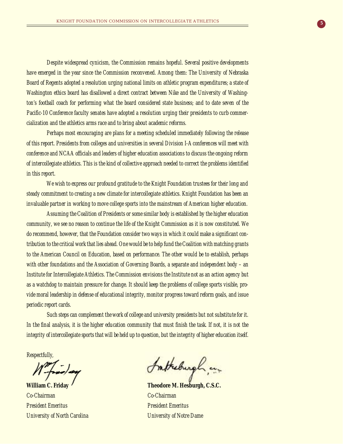*Despite widespread cynicism, the Commission remains hopeful. Several positive developments have emerged in the year since the Commission reconvened. Among them: The University of Nebraska Board of Regents adopted a resolution urging national limits on athletic program expenditures; a state of Washington ethics board has disallowed a direct contract between Nike and the University of Washingt o n 's football coach for performing what the board considered state business; and to date seven of the Pacific-10 Conference faculty senates have adopted a resolution urging their presidents to curb commercialization and the athletics arms race and to bring about academic reforms.* 

*Perhaps most encouraging are plans for a meeting scheduled immediately following the release of this report. Presidents from colleges and universities in several Division I-A conferences will meet with conference and NCAA officials and leaders of higher education associations to discuss the ongoing reform of intercollegiate athletics. This is the kind of collective approach needed to correct the problems identified in this report.* 

*We wish to express our profound gratitude to the Knight Foundation trustees for their long and steady commitment to creating a new climate for intercollegiate athletics. Knight Foundation has been an invaluable partner in working to move college sports into the mainstream of American higher education.* 

*Assuming the Coalition of Presidents or some similar body is established by the higher education community, we see no reason to continue the life of the Knight Commission as it is now constituted. We do recommend, however, that the Foundation consider two ways in which it could make a significant contribution to the critical work that lies ahead. One would be to help fund the Coalition with matching grants to the American Council on Education, based on performance. The other would be to establish, perhaps with other foundations and the Association of Governing Boards, a separate and independent body – an Institute for Intercollegiate Athletics. The Commission envisions the Institute not as an action agency but as a watchdog to maintain pressure for change. It should keep the problems of college sports visible, provide moral leadership in defense of educational integrity, monitor progress toward reform goals, and issue periodic report cards.*

*Such steps can complement the work of college and university presidents but not substitute for it. In the final analysis, it is the higher education community that must finish the task. If not, it is not the integrity of intercollegiate sports that will be held up to question, but the integrity of higher education itself.*

*Respectfully,*

*Co-Chairman Co-Chairman President Emeritus President Emeritus University of North Carolina University of Notre Dame*

mtterburgh .

**William C. Friday Theodore M. Hesburgh, C.S.C.**

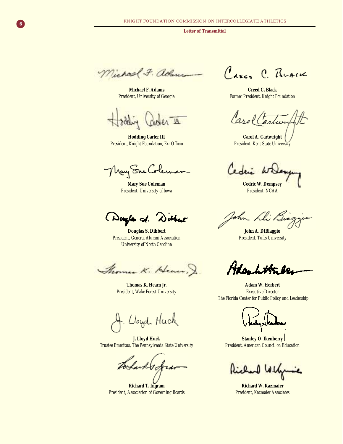#### **Letter of Transmittal**

Nichael F. adams

**Michael F. Adams** *President, University of Georgia*

**Hodding Carter III** *President, Knight Foundation, Ex-Officio*

May Sne Coleman

**Mary Sue Coleman** *President, University of Iowa*

(Douglas of Dibbert

**Douglas S. Dibbert** *President, General Alumni Association University of North Carolina*

Thomas K. Heaven,

**Thomas K. Hearn Jr.** *President, Wake Forest University*

Lloyd Huck

**J. Lloyd Huck** *Trustee Emeritus, The Pennsylvania State University*

Sach Spran

**Richard T. Ingram** *President, Association of Governing Boards*

Crees C. BLACK

**Creed C. Black** *Former President, Knight Foundation*

**Carol A. Cartwright** *President, Kent State University*

**Cedric W. Dempsey** *President, NCAA*

John Lli,

**John A. DiBiaggio** *President, Tufts University*

**Adam W. Herbert** *Executive Director The Florida Center for Public Policy and Leadership*

**Stanley O. Ikenberry** *President, American Council on Education*

**Richard W. Kazmaier** *President, Kazmaier Associates*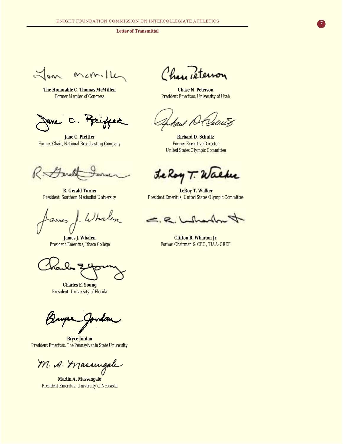**Letter of Transmittal**

Menille

**The Honorable C. Thomas McMillen** *Former Member of Congress*

**Jane C. Pfeiffer** *Former Chair, National Broadcasting Company*

**R. Gerald Turner** *President, Southern Methodist University*

Whalen

**James J. Whalen** *President Emeritus, Ithaca College*

**Charles E. Young** *President, University of Florida*

 $\overline{\mathscr{M}}$ 

**Bryce Jordan** *President Emeritus, The Pennsylvania State University*

M. A. Massingale

**Martin A. Massengale** *President Emeritus, University of Nebraska*

Chase Letern

**Chase N. Peterson**  *President Emeritus, University of Utah*

**Richard D. Schultz** *Former Executive Director United States Olympic Committee*

alku Lekoy  $7.2$ 

**LeRoy T. Walker** *President Emeritus, United States Olympic Committee*

**Clifton R. Wharton Jr.** *Former Chairman & CEO, TIAA-CREF*

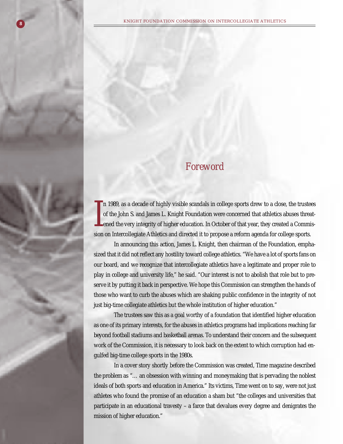# *Foreword*

I n 1989, as a decade of highly visible scandals in college sports drew to a close, the trustees of the John S. and James L. Knight Foundation were concerned that athletics abuses threatened the very integrity of higher education. In October of that year, they created a Commission on Intercollegiate Athletics and directed it to propose a reform agenda for college sports.

In announcing this action, James L. Knight, then chairman of the Foundation, emphasized that it did not reflect any hostility toward college athletics. "We have a lot of sports fans on our board, and we recognize that intercollegiate athletics have a legitimate and proper role to play in college and university life," he said. "Our interest is not to abolish that role but to preserve it by putting it back in perspective. We hope this Commission can strengthen the hands of those who want to curb the abuses which are shaking public confidence in the integrity of not just big-time collegiate athletics but the whole institution of higher education."

The trustees saw this as a goal worthy of a foundation that identified higher education as one of its primary interests, for the abuses in athletics programs had implications reaching far beyond football stadiums and basketball arenas. To understand their concern and the subsequent work of the Commission, it is necessary to look back on the extent to which corruption had engulfed big-time college sports in the 1980s.

In a cover story shortly before the Commission was created, Time magazine described the problem as "… an obsession with winning and moneymaking that is pervading the noblest ideals of both sports and education in America." Its victims, Time went on to say, were not just athletes who found the promise of an education a sham but "the colleges and universities that participate in an educational travesty – a farce that devalues every degree and denigrates the mission of higher education."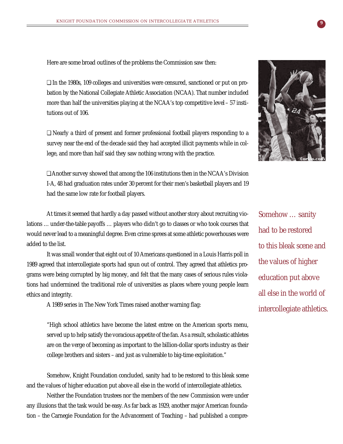Here are some broad outlines of the problems the Commission saw then:

❏ In the 1980s, 109 colleges and universities were censured, sanctioned or put on probation by the National Collegiate Athletic Association (NCAA). That number included more than half the universities playing at the NCAA's top competitive level – 57 institutions out of 106.

❏ Nearly a third of present and former professional football players responding to a survey near the end of the decade said they had accepted illicit payments while in college, and more than half said they saw nothing wrong with the practice.

❏ Another survey showed that among the 106 institutions then in the NCAA's Division I-A, 48 had graduation rates under 30 percent for their men's basketball players and 19 had the same low rate for football players.

At times it seemed that hardly a day passed without another story about recruiting violations … under-the-table payoffs … players who didn't go to classes or who took courses that would never lead to a meaningful degree. Even crime sprees at some athletic powerhouses were added to the list.

It was small wonder that eight out of 10 Americans questioned in a Louis Harris poll in 1989 agreed that intercollegiate sports had spun out of control. They agreed that athletics programs were being corrupted by big money, and felt that the many cases of serious rules violations had undermined the traditional role of universities as places where young people learn ethics and integrity.

A 1989 series in The New York Times raised another warning flag:

"High school athletics have become the latest entree on the American sports menu, served up to help satisfy the voracious appetite of the fan. As a result, scholastic athletes are on the verge of becoming as important to the billion-dollar sports industry as their college brothers and sisters – and just as vulnerable to big-time exploitation."

Somehow, Knight Foundation concluded, sanity had to be restored to this bleak scene and the values of higher education put above all else in the world of intercollegiate athletics.

Neither the Foundation trustees nor the members of the new Commission were under any illusions that the task would be easy. As far back as 1929, another major American foundation – the Carnegie Foundation for the Advancement of Teaching – had published a compre-



Somehow … sanity had to be restored to this bleak scene and the values of higher education put above all else in the world of intercollegiate athletics.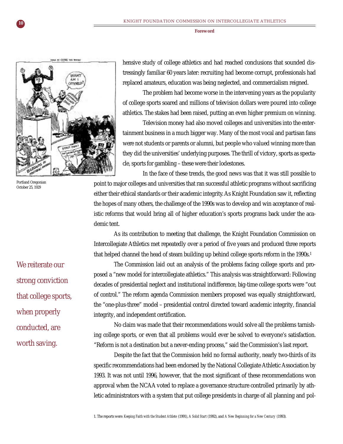**Foreword**



Portland Oregonian October 25, 1929

**10**

We reiterate our strong conviction that college sports, when properly conducted, are worth saving.

hensive study of college athletics and had reached conclusions that sounded distressingly familiar 60 years later: recruiting had become corrupt, professionals had replaced amateurs, education was being neglected, and commercialism reigned.

The problem had become worse in the intervening years as the popularity of college sports soared and millions of television dollars were poured into college athletics. The stakes had been raised, putting an even higher premium on winning.

Television money had also moved colleges and universities into the entertainment business in a much bigger way. Many of the most vocal and partisan fans were not students or parents or alumni, but people who valued winning more than they did the universities' underlying purposes. The thrill of victory, sports as spectacle, sports for gambling – these were their lodestones.

In the face of these trends, the good news was that it was still possible to point to major colleges and universities that ran successful athletic programs without sacrificing either their ethical standards or their academic integrity. As Knight Foundation saw it, reflecting the hopes of many others, the challenge of the 1990s was to develop and win acceptance of realistic reforms that would bring all of higher education's sports programs back under the academic tent.

As its contribution to meeting that challenge, the Knight Foundation Commission on Intercollegiate Athletics met repeatedly over a period of five years and produced three reports that helped channel the head of steam building up behind college sports reform in the 1990s.<sup>1</sup>

The Commission laid out an analysis of the problems facing college sports and proposed a "new model for intercollegiate athletics." This analysis was straightforward: Following decades of presidential neglect and institutional indifference, big-time college sports were "out of control." The reform agenda Commission members proposed was equally straightforward, the "one-plus-three" model – presidential control directed toward academic integrity, financial integrity, and independent certification.

No claim was made that their recommendations would solve all the problems tarnishing college sports, or even that all problems would ever be solved to everyone's satisfaction. "Reform is not a destination but a never-ending process," said the Commission's last report.

Despite the fact that the Commission held no formal authority, nearly two-thirds of its specific recommendations had been endorsed by the National Collegiate Athletic Association by 1993. It was not until 1996, however, that the most significant of these recommendations won approval when the NCAA voted to replace a governance structure controlled primarily by athletic administrators with a system that put college presidents in charge of all planning and pol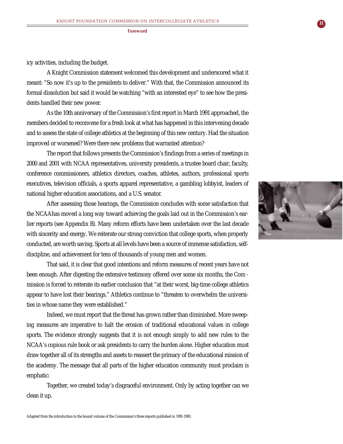**Foreword**

icy activities, including the budget.

A Knight Commission statement welcomed this development and underscored what it meant: "So now it's up to the presidents to deliver." With that, the Commission announced its formal dissolution but said it would be watching "with an interested eye" to see how the presidents handled their new power.

As the 10th anniversary of the Commission's first report in March 1991 approached, the members decided to reconvene for a fresh look at what has happened in this intervening decade and to assess the state of college athletics at the beginning of this new century. Had the situation improved or worsened? Were there new problems that warranted attention?

The report that follows presents the Commission's findings from a series of meetings in 2000 and 2001 with NCAA representatives, university presidents, a trustee board chair, faculty, conference commissioners, athletics directors, coaches, athletes, authors, professional sports executives, television officials, a sports apparel representative, a gambling lobbyist, leaders of national higher education associations, and a U.S. senator.

After assessing those hearings, the Commission concludes with some satisfaction that the NCAAhas moved a long way toward achieving the goals laid out in the Commission's earlier reports (see Appendix B). Many reform efforts have been undertaken over the last decade with sincerity and energy. We reiterate our strong conviction that college sports, when properly conducted, are worth saving. Sports at all levels have been a source of immense satisfaction, selfdiscipline, and achievement for tens of thousands of young men and women.

That said, it is clear that good intentions and reform measures of recent years have not been enough. After digesting the extensive testimony offered over some six months, the Com mission is forced to reiterate its earlier conclusion that "at their worst, big-time college athletics appear to have lost their bearings." Athletics continue to "threaten to overwhelm the universities in whose name they were established."

Indeed, we must report that the threat has grown rather than diminished. More sweeping measures are imperative to halt the erosion of traditional educational values in college sports. The evidence strongly suggests that it is not enough simply to add new rules to the NCAA's copious rule book or ask presidents to carry the burden alone. Higher education must draw together all of its strengths and assets to reassert the primacy of the educational mission of the academy. The message that all parts of the higher education community must proclaim is emphatic:

Together, we created today's disgraceful environment. Only by acting together can we clean it up.

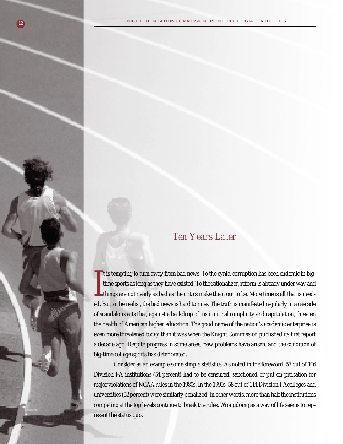I t is tempting to turn away from bad news. To the cynic, corruption has been endemic in bigtime sports as long as they have existed. To the rationalizer, reform is already under way and things are not nearly as bad as the critics make them out to be. More time is all that is needed. But to the realist, the bad news is hard to miss. The truth is manifested regularly in a cascade of scandalous acts that, against a backdrop of institutional complicity and capitulation, threaten the health of American higher education. The good name of the nation's academic enterprise is even more threatened today than it was when the Knight Commission published its first report a decade ago. Despite progress in some areas, new problems have arisen, and the condition of big-time college sports has deteriorated.

Consider as an example some simple statistics: As noted in the foreword, 57 out of 106 Division I-A institutions (54 percent) had to be censured, sanctioned or put on probation for major violations of NCAA rules in the 1980s. In the 1990s, 58 out of 114 Division I-Acolleges and universities (52 percent) were similarly penalized. In other words, more than half the institutions competing at the top levels continue to break the rules. Wrongdoing as a way of life seems to represent the status quo.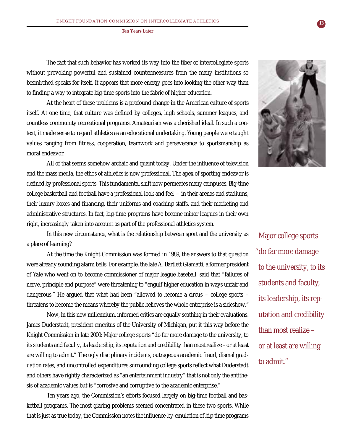The fact that such behavior has worked its way into the fiber of intercollegiate sports without provoking powerful and sustained countermeasures from the many institutions so besmirched speaks for itself. It appears that more energy goes into looking the other way than to finding a way to integrate big-time sports into the fabric of higher education.

At the heart of these problems is a profound change in the American culture of sports itself. At one time, that culture was defined by colleges, high schools, summer leagues, and countless community recreational programs. Amateurism was a cherished ideal. In such a context, it made sense to regard athletics as an educational undertaking. Young people were taught values ranging from fitness, cooperation, teamwork and perseverance to sportsmanship as moral endeavor.

All of that seems somehow archaic and quaint today. Under the influence of television and the mass media, the ethos of athletics is now professional. The apex of sporting endeavor is defined by professional sports. This fundamental shift now permeates many campuses. Big-time college basketball and football have a professional look and feel – in their arenas and stadiums, their luxury boxes and financing, their uniforms and coaching staffs, and their marketing and administrative structures. In fact, big-time programs have become minor leagues in their own right, increasingly taken into account as part of the professional athletics system.

In this new circumstance, what is the relationship between sport and the university as a place of learning?

At the time the Knight Commission was formed in 1989, the answers to that question were already sounding alarm bells. For example, the late A. Bartlett Giamatti, a former president of Yale who went on to become commissioner of major league baseball, said that "failures of nerve, principle and purpose" were threatening to "engulf higher education in ways unfair and dangerous." He argued that what had been "allowed to become a circus – college sports – threatens to become the means whereby the public believes the whole enterprise is a sideshow."

Now, in this new millennium, informed critics are equally scathing in their evaluations. James Duderstadt, president emeritus of the University of Michigan, put it this way before the Knight Commission in late 2000: Major college sports "do far more damage to the university, to its students and faculty, its leadership, its reputation and credibility than most realize – or at least are willing to admit." The ugly disciplinary incidents, outrageous academic fraud, dismal graduation rates, and uncontrolled expenditures surrounding college sports reflect what Duderstadt and others have rightly characterized as "an entertainment industry" that is not only the antithesis of academic values but is "corrosive and corruptive to the academic enterprise."

Ten years ago, the Commission's efforts focused largely on big-time football and basketball programs. The most glaring problems seemed concentrated in these two sports. While that is just as true today, the Commission notes the influence-by-emulation of big-time programs



Major college sports do far more damage "to the university, to its students and faculty, its leadership, its reputation and credibility than most realize – or at least are willing to admit."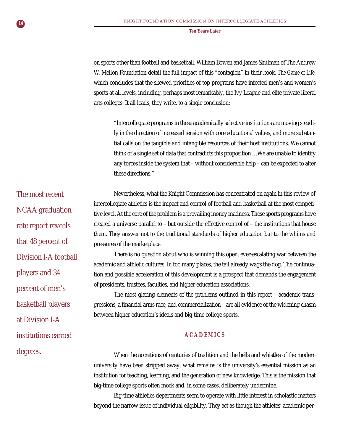on sports other than football and basketball. William Bowen and James Shulman of The Andrew W. Mellon Foundation detail the full impact of this "contagion" in their book, *The Game of Life*, which concludes that the skewed priorities of top programs have infected men's and women's sports at all levels, including, perhaps most remarkably, the Ivy League and elite private liberal arts colleges. It all leads, they write, to a single conclusion:

"Intercollegiate programs in these academically selective institutions are moving steadily in the direction of increased tension with core educational values, and more substantial calls on the tangible and intangible resources of their host institutions. We cannot think of a single set of data that contradicts this proposition …We are unable to identify any forces inside the system that – without considerable help – can be expected to alter these directions."

Nevertheless, what the Knight Commission has concentrated on again in this review of intercollegiate athletics is the impact and control of football and basketball at the most competitive level. At the core of the problem is a prevailing money madness. These sports programs have created a universe parallel to – but outside the effective control of – the institutions that house them. They answer not to the traditional standards of higher education but to the whims and pressures of the marketplace.

There is no question about who is winning this open, ever-escalating war between the academic and athletic cultures. In too many places, the tail already wags the dog. The continuation and possible acceleration of this development is a prospect that demands the engagement of presidents, trustees, faculties, and higher education associations.

The most glaring elements of the problems outlined in this report – academic transgressions, a financial arms race, and commercialization - are all evidence of the widening chasm between higher education's ideals and big-time college sports.

### **A C A D E M I C S**

When the accretions of centuries of tradition and the bells and whistles of the modern university have been stripped away, what remains is the university's essential mission as an institution for teaching, learning, and the generation of new knowledge. This is the mission that big-time college sports often mock and, in some cases, deliberately undermine.

Big-time athletics departments seem to operate with little interest in scholastic matters beyond the narrow issue of individual eligibility. They act as though the athletes' academic per-

The most recent NCAA graduation rate report reveals that 48 percent of Division I-A football players and 34 percent of men's basketball players at Division I-A institutions earned degrees.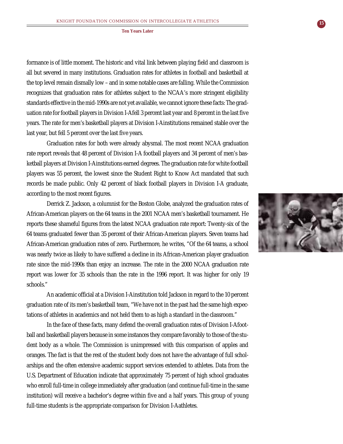formance is of little moment. The historic and vital link between playing field and classroom is all but severed in many institutions. Graduation rates for athletes in football and basketball at the top level remain dismally low – and in some notable cases are falling. While the Commission recognizes that graduation rates for athletes subject to the NCAA's more stringent eligibility standards effective in the mid-1990s are not yet available, we cannot ignore these facts: The graduation rate for football players in Division I-Afell 3 percent last year and 8 percent in the last five years. The rate for men's basketball players at Division I-Ainstitutions remained stable over the last year, but fell 5 percent over the last five years.

Graduation rates for both were already abysmal. The most recent NCAA graduation rate report reveals that 48 percent of Division I-A football players and 34 percent of men's basketball players at Division I-Ainstitutions earned degrees. The graduation rate for white football players was 55 percent, the lowest since the Student Right to Know Act mandated that such records be made public. Only 42 percent of black football players in Division I-A graduate, according to the most recent figures.

Derrick Z. Jackson, a columnist for the Boston Globe, analyzed the graduation rates of African-American players on the 64 teams in the 2001 NCAA men's basketball tournament. He reports these shameful figures from the latest NCAA graduation rate report: Twenty-six of the 64 teams graduated fewer than 35 percent of their African-American players. Seven teams had African-American graduation rates of zero. Furthermore, he writes, "Of the 64 teams, a school was nearly twice as likely to have suffered a decline in its African-American player graduation rate since the mid-1990s than enjoy an increase. The rate in the 2000 NCAA graduation rate report was lower for 35 schools than the rate in the 1996 report. It was higher for only 19 schools."

An academic official at a Division I-Ainstitution told Jackson in regard to the 10 percent graduation rate of its men's basketball team, "We have not in the past had the same high expectations of athletes in academics and not held them to as high a standard in the classroom."

In the face of these facts, many defend the overall graduation rates of Division I-Afootball and basketball players because in some instances they compare favorably to those of the student body as a whole. The Commission is unimpressed with this comparison of apples and oranges. The fact is that the rest of the student body does not have the advantage of full scholarships and the often extensive academic support services extended to athletes. Data from the U.S. Department of Education indicate that approximately 75 percent of high school graduates who enroll full-time in college immediately after graduation (and continue full-time in the same institution) will receive a bachelor's degree within five and a half years. This group of young full-time students is the appropriate comparison for Division I-Aathletes.

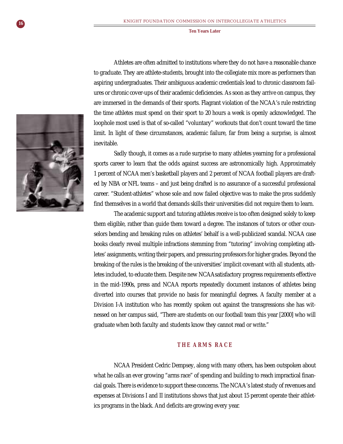

Athletes are often admitted to institutions where they do not have a reasonable chance to graduate. They are athlete-students, brought into the collegiate mix more as performers than aspiring undergraduates. Their ambiguous academic credentials lead to chronic classroom failures or chronic cover-ups of their academic deficiencies. As soon as they arrive on campus, they are immersed in the demands of their sports. Flagrant violation of the NCAA's rule restricting the time athletes must spend on their sport to 20 hours a week is openly acknowledged. The loophole most used is that of so-called "voluntary" workouts that don't count toward the time limit. In light of these circumstances, academic failure, far from being a surprise, is almost inevitable.

Sadly though, it comes as a rude surprise to many athletes yearning for a professional sports career to learn that the odds against success are astronomically high. Approximately 1 percent of NCAA men's basketball players and 2 percent of NCAA football players are drafted by NBA or NFL teams – and just being drafted is no assurance of a successful professional career. "Student-athletes" whose sole and now failed objective was to make the pros suddenly find themselves in a world that demands skills their universities did not require them to learn.

The academic support and tutoring athletes receive is too often designed solely to keep them eligible, rather than guide them toward a degree. The instances of tutors or other counselors bending and breaking rules on athletes' behalf is a well-publicized scandal. NCAA case books clearly reveal multiple infractions stemming from "tutoring" involving completing athletes' assignments, writing their papers, and pressuring professors for higher grades. Beyond the breaking of the rules is the breaking of the universities' implicit covenant with all students, athletes included, to educate them. Despite new NCAAsatisfactory progress requirements effective in the mid-1990s, press and NCAA reports repeatedly document instances of athletes being diverted into courses that provide no basis for meaningful degrees. A faculty member at a Division I-A institution who has recently spoken out against the transgressions she has witnessed on her campus said, "There are students on our football team this year [2000] who will graduate when both faculty and students know they cannot read or write."

# **THE ARMS RACE**

NCAA President Cedric Dempsey, along with many others, has been outspoken about what he calls an ever growing "arms race" of spending and building to reach impractical financial goals. There is evidence to support these concerns. The NCAA's latest study of revenues and expenses at Divisions I and II institutions shows that just about 15 percent operate their athletics programs in the black. And deficits are growing every year.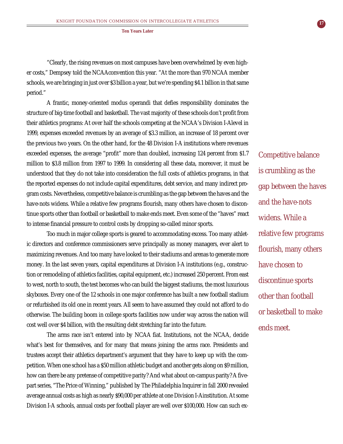"Clearly, the rising revenues on most campuses have been overwhelmed by even higher costs," Dempsey told the NCAAconvention this year. "At the more than 970 NCAA member schools, we are bringing in just over \$3 billion a year, but we're spending \$4.1 billion in that same period."

A frantic, money-oriented modus operandi that defies responsibility dominates the structure of big-time football and basketball. The vast majority of these schools don't profit from their athletics programs: At over half the schools competing at the NCAA's Division I-Alevel in 1999, expenses exceeded revenues by an average of \$3.3 million, an increase of 18 percent over the previous two years. On the other hand, for the 48 Division I-A institutions where revenues exceeded expenses, the average "profit" more than doubled, increasing 124 percent from \$1.7 million to \$3.8 million from 1997 to 1999. In considering all these data, moreover, it must be understood that they do not take into consideration the full costs of athletics programs, in that the reported expenses do not include capital expenditures, debt service, and many indirect program costs. Nevertheless, competitive balance is crumbling as the gap between the haves and the have-nots widens. While a relative few programs flourish, many others have chosen to discontinue sports other than football or basketball to make ends meet. Even some of the "haves" react to intense financial pressure to control costs by dropping so-called minor sports.

Too much in major college sports is geared to accommodating excess. Too many athletic directors and conference commissioners serve principally as money managers, ever alert to maximizing revenues. And too many have looked to their stadiums and arenas to generate more money. In the last seven years, capital expenditures at Division I-A institutions (e.g., construction or remodeling of athletics facilities, capital equipment, etc.) increased 250 percent. From east to west, north to south, the test becomes who can build the biggest stadiums, the most luxurious skyboxes. Every one of the 12 schools in one major conference has built a new football stadium or refurbished its old one in recent years. All seem to have assumed they could not afford to do otherwise. The building boom in college sports facilities now under way across the nation will cost well over \$4 billion, with the resulting debt stretching far into the future.

The arms race isn't entered into by NCAA fiat. Institutions, not the NCAA, decide what's best for themselves, and for many that means joining the arms race. Presidents and trustees accept their athletics department's argument that they have to keep up with the competition. When one school has a \$50 million athletic budget and another gets along on \$9 million, how can there be any pretense of competitive parity? And what about on-campus parity? A fivepart series, "The Price of Winning," published by The Philadelphia Inquirer in fall 2000 revealed average annual costs as high as nearly \$90,000 per athlete at one Division I-Ainstitution. At some Division I-A schools, annual costs per football player are well over \$100,000. How can such ex-

Competitive balance is crumbling as the gap between the haves and the have-nots widens. While a relative few programs flourish, many others have chosen to discontinue sports other than football or basketball to make ends meet.

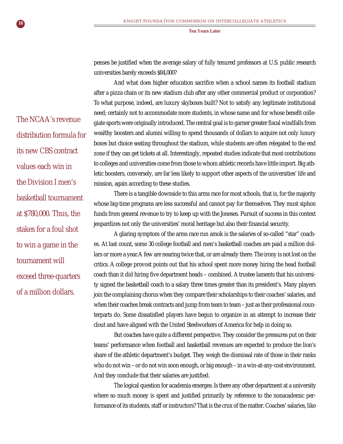penses be justified when the average salary of fully tenured professors at U.S. public research universities barely exceeds \$84,000?

And what does higher education sacrifice when a school names its football stadium after a pizza chain or its new stadium club after any other commercial product or corporation? To what purpose, indeed, are luxury skyboxes built? Not to satisfy any legitimate institutional need; certainly not to accommodate more students, in whose name and for whose benefit collegiate sports were originally introduced. The central goal is to garner greater fiscal windfalls from wealthy boosters and alumni willing to spend thousands of dollars to acquire not only luxury boxes but choice seating throughout the stadium, while students are often relegated to the end zone if they can get tickets at all. Interestingly, repeated studies indicate that most contributions to colleges and universities come from those to whom athletic records have little import. Big athletic boosters, conversely, are far less likely to support other aspects of the universities' life and mission, again according to these studies.

There is a tangible downside to this arms race for most schools, that is, for the majority whose big-time programs are less successful and cannot pay for themselves. They must siphon funds from general revenue to try to keep up with the Joneses. Pursuit of success in this context jeopardizes not only the universities' moral heritage but also their financial security.

A glaring symptom of the arms race run amok is the salaries of so-called "star" coaches. At last count, some 30 college football and men's basketball coaches are paid a million dollars or more a year.A few are nearing twice that, or are already there. The irony is not lost on the critics. A college provost points out that his school spent more money hiring the head football coach than it did hiring five department heads – combined. A trustee laments that his university signed the basketball coach to a salary three times greater than its president's. Many players join the complaining chorus when they compare their scholarships to their coaches' salaries, and when their coaches break contracts and jump from team to team - just as their professional counterparts do. Some dissatisfied players have begun to organize in an attempt to increase their clout and have aligned with the United Steelworkers of America for help in doing so.

But coaches have quite a different perspective. They consider the pressures put on their teams' performance when football and basketball revenues are expected to produce the lion's share of the athletic department's budget. They weigh the dismissal rate of those in their ranks who do not win – or do not win soon enough, or big enough – in a win-at-any-cost environment. And they conclude that their salaries are justified.

The logical question for academia emerges: Is there any other department at a university where so much money is spent and justified primarily by reference to the nonacademic performance of its students, staff or instructors? That is the crux of the matter. Coaches' salaries, like

The NCAA's revenue distribution formula for its new CBS contract values each win in the Division I men's basketball tournament at \$780,000. Thus, the stakes for a foul shot to win a game in the tournament will exceed three-quarters of a million dollars.

**18**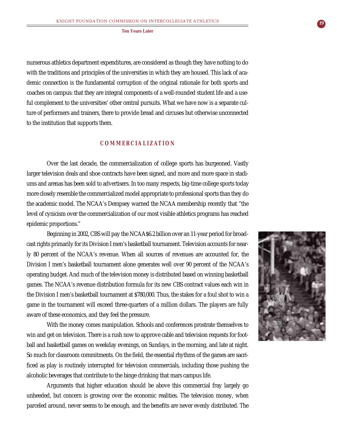numerous athletics department expenditures, are considered as though they have nothing to do with the traditions and principles of the universities in which they are housed. This lack of academic connection is the fundamental corruption of the original rationale for both sports and coaches on campus: that they are integral components of a well-rounded student life and a useful complement to the universities' other central pursuits. What we have now is a separate culture of performers and trainers, there to provide bread and circuses but otherwise unconnected to the institution that supports them.

### **C O M M E R C I A L I Z AT I O N**

Over the last decade, the commercialization of college sports has burgeoned. Vastly larger television deals and shoe contracts have been signed, and more and more space in stadiums and arenas has been sold to advertisers. In too many respects, big-time college sports today more closely resemble the commercialized model appropriate to professional sports than they do the academic model. The NCAA's Dempsey warned the NCAA membership recently that "the level of cynicism over the commercialization of our most visible athletics programs has reached epidemic proportions."

Beginning in 2002, CBS will pay the NCAA\$6.2 billion over an 11-year period for broadcast rights primarily for its Division I men's basketball tournament. Television accounts for nearly 80 percent of the NCAA's revenue. When all sources of revenues are accounted for, the Division I men's basketball tournament alone generates well over 90 percent of the NCAA's operating budget. And much of the television money is distributed based on winning basketball games. The NCAA's revenue distribution formula for its new CBS contract values each win in the Division I men's basketball tournament at \$780,000. Thus, the stakes for a foul shot to win a game in the tournament will exceed three-quarters of a million dollars. The players are fully aware of these economics, and they feel the pressure.

With the money comes manipulation. Schools and conferences prostrate themselves to win and get on television. There is a rush now to approve cable and television requests for football and basketball games on weekday evenings, on Sundays, in the morning, and late at night. So much for classroom commitments. On the field, the essential rhythms of the games are sacrificed as play is routinely interrupted for television commercials, including those pushing the alcoholic beverages that contribute to the binge drinking that mars campus life.

Arguments that higher education should be above this commercial fray largely go unheeded, but concern is growing over the economic realities. The television money, when parceled around, never seems to be enough, and the benefits are never evenly distributed. The



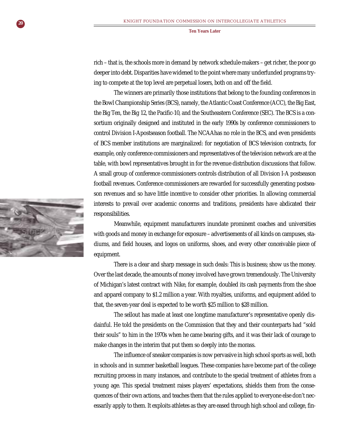rich – that is, the schools more in demand by network schedule-makers – get richer, the poor go deeper into debt. Disparities have widened to the point where many underfunded programs trying to compete at the top level are perpetual losers, both on and off the field.

The winners are primarily those institutions that belong to the founding conferences in the Bowl Championship Series (BCS), namely, the Atlantic Coast Conference (ACC), the Big East, the Big Ten, the Big 12, the Pacific-10, and the Southeastern Conference (SEC). The BCS is a consortium originally designed and instituted in the early 1990s by conference commissioners to control Division I-Apostseason football. The NCAAhas no role in the BCS, and even presidents of BCS member institutions are marginalized: for negotiation of BCS television contracts, for example, only conference commissioners and representatives of the television network are at the table, with bowl representatives brought in for the revenue distribution discussions that follow. A small group of conference commissioners controls distribution of all Division I-A postseason football revenues. Conference commissioners are rewarded for successfully generating postseason revenues and so have little incentive to consider other priorities. In allowing commercial interests to prevail over academic concerns and traditions, presidents have abdicated their responsibilities.

Meanwhile, equipment manufacturers inundate prominent coaches and universities with goods and money in exchange for exposure – advertisements of all kinds on campuses, stadiums, and field houses, and logos on uniforms, shoes, and every other conceivable piece of equipment.

There is a clear and sharp message in such deals: This is business; show us the money. Over the last decade, the amounts of money involved have grown tremendously. The University of Michigan's latest contract with Nike, for example, doubled its cash payments from the shoe and apparel company to \$1.2 million a year. With royalties, uniforms, and equipment added to that, the seven-year deal is expected to be worth \$25 million to \$28 million.

The sellout has made at least one longtime manufacturer's representative openly disdainful. He told the presidents on the Commission that they and their counterparts had "sold their souls" to him in the 1970s when he came bearing gifts, and it was their lack of courage to make changes in the interim that put them so deeply into the morass.

The influence of sneaker companies is now pervasive in high school sports as well, both in schools and in summer basketball leagues. These companies have become part of the college recruiting process in many instances, and contribute to the special treatment of athletes from a young age. This special treatment raises players' expectations, shields them from the consequences of their own actions, and teaches them that the rules applied to everyone else don't necessarily apply to them. It exploits athletes as they are eased through high school and college, fin-

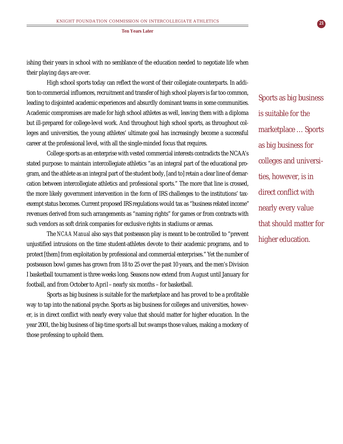ishing their years in school with no semblance of the education needed to negotiate life when their playing days are over.

High school sports today can reflect the worst of their collegiate counterparts. In addition to commercial influences, recruitment and transfer of high school players is far too common, leading to disjointed academic experiences and absurdly dominant teams in some communities. Academic compromises are made for high school athletes as well, leaving them with a diploma but ill-prepared for college-level work. And throughout high school sports, as throughout colleges and universities, the young athletes' ultimate goal has increasingly become a successful career at the professional level, with all the single-minded focus that requires.

College sports as an enterprise with vested commercial interests contradicts the NCAA's stated purpose: to maintain intercollegiate athletics "as an integral part of the educational program, and the athlete as an integral part of the student body, [and to] retain a clear line of demarcation between intercollegiate athletics and professional sports." The more that line is crossed, the more likely government intervention in the form of IRS challenges to the institutions' taxexempt status becomes. Current proposed IRS regulations would tax as "business related income" revenues derived from such arrangements as "naming rights" for games or from contracts with such vendors as soft drink companies for exclusive rights in stadiums or arenas.

The *NCAA Manual* also says that postseason play is meant to be controlled to "prevent unjustified intrusions on the time student-athletes devote to their academic programs, and to protect [them] from exploitation by professional and commercial enterprises." Yet the number of postseason bowl games has grown from 18 to 25 over the past 10 years, and the men's Division I basketball tournament is three weeks long. Seasons now extend from August until January for football, and from October to April – nearly six months – for basketball.

Sports as big business is suitable for the marketplace and has proved to be a profitable way to tap into the national psyche. Sports as big business for colleges and universities, however, is in direct conflict with nearly every value that should matter for higher education. In the year 2001, the big business of big-time sports all but swamps those values, making a mockery of those professing to uphold them.

Sports as big business is suitable for the marketplace … Sports as big business for colleges and universities, however, is in direct conflict with nearly every value that should matter for higher education.

**21**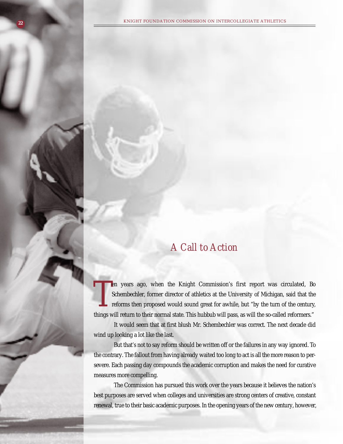$\mathbf{T}$ en years ago, when the Knight Commission's first report was circulated, Bo Schembechler, former director of athletics at the University of Michigan, said that the reforms then proposed would sound great for awhile, but "by the turn of the century, things will return to their normal state. This hubbub will pass, as will the so-called reformers."

It would seem that at first blush Mr. Schembechler was correct. The next decade did wind up looking a lot like the last.

But that's not to say reform should be written off or the failures in any way ignored. To the contrary. The fallout from having already waited too long to act is all the more reason to persevere. Each passing day compounds the academic corruption and makes the need for curative measures more compelling.

The Commission has pursued this work over the years because it believes the nation's best purposes are served when colleges and universities are strong centers of creative, constant renewal, true to their basic academic purposes. In the opening years of the new century, however,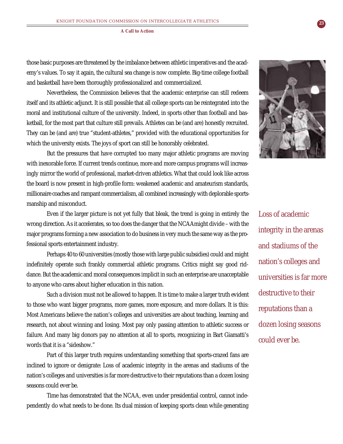those basic purposes are threatened by the imbalance between athletic imperatives and the academy's values. To say it again, the cultural sea change is now complete. Big-time college football and basketball have been thoroughly professionalized and commercialized.

Nevertheless, the Commission believes that the academic enterprise can still redeem itself and its athletic adjunct. It is still possible that all college sports can be reintegrated into the moral and institutional culture of the university. Indeed, in sports other than football and basketball, for the most part that culture still prevails. Athletes can be (and are) honestly recruited. They can be (and are) true "student-athletes," provided with the educational opportunities for which the university exists. The joys of sport can still be honorably celebrated.

But the pressures that have corrupted too many major athletic programs are moving with inexorable force. If current trends continue, more and more campus programs will increasingly mirror the world of professional, market-driven athletics. What that could look like across the board is now present in high-profile form: weakened academic and amateurism standards, millionaire coaches and rampant commercialism, all combined increasingly with deplorable sportsmanship and misconduct.

Even if the larger picture is not yet fully that bleak, the trend is going in entirely the wrong direction. As it accelerates, so too does the danger that the NCAAmight divide – with the major programs forming a new association to do business in very much the same way as the professional sports entertainment industry.

Perhaps 40 to 60 universities (mostly those with large public subsidies) could and might indefinitely operate such frankly commercial athletic programs. Critics might say good riddance. But the academic and moral consequences implicit in such an enterprise are unacceptable to anyone who cares about higher education in this nation.

Such a division must not be allowed to happen. It is time to make a larger truth evident to those who want bigger programs, more games, more exposure, and more dollars. It is this: Most Americans believe the nation's colleges and universities are about teaching, learning and research, not about winning and losing. Most pay only passing attention to athletic success or failure. And many big donors pay no attention at all to sports, recognizing in Bart Giamatti's words that it is a "sideshow."

Part of this larger truth requires understanding something that sports-crazed fans are inclined to ignore or denigrate: Loss of academic integrity in the arenas and stadiums of the nation's colleges and universities is far more destructive to their reputations than a dozen losing seasons could ever be.

Time has demonstrated that the NCAA, even under presidential control, cannot independently do what needs to be done. Its dual mission of keeping sports clean while generating



Loss of academic integrity in the arenas and stadiums of the nation's colleges and universities is far more destructive to their reputations than a dozen losing seasons could ever be.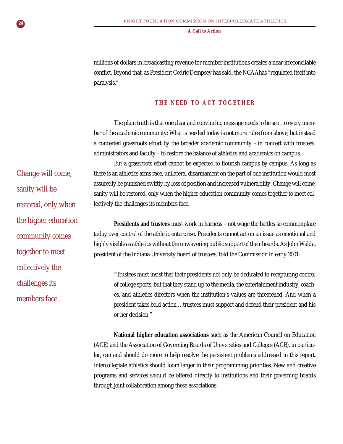

millions of dollars in broadcasting revenue for member institutions creates a near-irreconcilable conflict. Beyond that, as President Cedric Dempsey has said, the NCAAhas "regulated itself into paralysis."

### **THE NEED TO ACT TOGETHER**

The plain truth is that one clear and convincing message needs to be sent to every member of the academic community: What is needed today is not more rules from above, but instead a concerted grassroots effort by the broader academic community – in concert with trustees, administrators and faculty – to restore the balance of athletics and academics on campus.

But a grassroots effort cannot be expected to flourish campus by campus. As long as there is an athletics arms race, unilateral disarmament on the part of one institution would most assuredly be punished swiftly by loss of position and increased vulnerability. Change will come, sanity will be restored, only when the higher education community comes together to meet collectively the challenges its members face.

**Presidents and trustees** must work in harness – not wage the battles so commonplace today over control of the athletic enterprise. Presidents cannot act on an issue as emotional and highly visible as athletics without the unwavering public support of their boards. As John Walda, president of the Indiana University board of trustees, told the Commission in early 2001:

"Trustees must insist that their presidents not only be dedicated to recapturing control of college sports, but that they stand up to the media, the entertainment industry, coaches, and athletics directors when the institution's values are threatened. And when a president takes bold action …trustees must support and defend their president and his or her decision."

**National higher education associations** such as the American Council on Education (ACE) and the Association of Governing Boards of Universities and Colleges (AGB), in particular, can and should do more to help resolve the persistent problems addressed in this report. Intercollegiate athletics should loom larger in their programming priorities. New and creative programs and services should be offered directly to institutions and their governing boards through joint collaboration among these associations.

Change will come, sanity will be restored, only when the higher education community comes together to meet collectively the challenges its members face.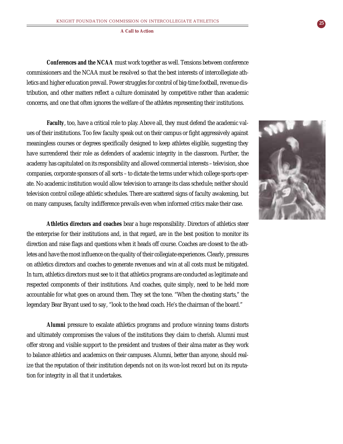**Conferences and the NCAA** must work together as well. Tensions between conference commissioners and the NCAA must be resolved so that the best interests of intercollegiate athletics and higher education prevail. Power struggles for control of big-time football, revenue distribution, and other matters reflect a culture dominated by competitive rather than academic concerns, and one that often ignores the welfare of the athletes representing their institutions.

**Faculty**, too, have a critical role to play. Above all, they must defend the academic values of their institutions. Too few faculty speak out on their campus or fight aggressively against meaningless courses or degrees specifically designed to keep athletes eligible, suggesting they have surrendered their role as defenders of academic integrity in the classroom. Further, the academy has capitulated on its responsibility and allowed commercial interests – television, shoe companies, corporate sponsors of all sorts – to dictate the terms under which college sports operate. No academic institution would allow television to arrange its class schedule; neither should television control college athletic schedules. There are scattered signs of faculty awakening, but on many campuses, faculty indifference prevails even when informed critics make their case.

**Athletics directors and coaches** bear a huge responsibility. Directors of athletics steer the enterprise for their institutions and, in that regard, are in the best position to monitor its direction and raise flags and questions when it heads off course. Coaches are closest to the athletes and have the most influence on the quality of their collegiate experiences. Clearly, pressures on athletics directors and coaches to generate revenues and win at all costs must be mitigated. In turn, athletics directors must see to it that athletics programs are conducted as legitimate and respected components of their institutions. And coaches, quite simply, need to be held more accountable for what goes on around them. They set the tone. "When the cheating starts," the legendary Bear Bryant used to say, "look to the head coach. He's the chairman of the board."

**Alumni** pressure to escalate athletics programs and produce winning teams distorts and ultimately compromises the values of the institutions they claim to cherish. Alumni must offer strong and visible support to the president and trustees of their alma mater as they work to balance athletics and academics on their campuses. Alumni, better than anyone, should realize that the reputation of their institution depends not on its won-lost record but on its reputation for integrity in all that it undertakes.



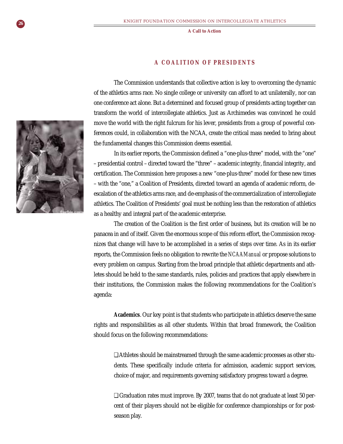**26**

### **A COALITION OF PRESIDENTS**

The Commission understands that collective action is key to overcoming the dynamic of the athletics arms race. No single college or university can afford to act unilaterally, nor can one conference act alone. But a determined and focused group of presidents acting together can transform the world of intercollegiate athletics. Just as Archimedes was convinced he could move the world with the right fulcrum for his lever, presidents from a group of powerful conferences could, in collaboration with the NCAA, create the critical mass needed to bring about the fundamental changes this Commission deems essential.

In its earlier reports, the Commission defined a "one-plus-three" model, with the "one" – presidential control – directed toward the "three" – academic integrity, financial integrity, and certification. The Commission here proposes a new "one-plus-three" model for these new times – with the "one," a Coalition of Presidents, directed toward an agenda of academic reform, deescalation of the athletics arms race, and de-emphasis of the commercialization of intercollegiate athletics. The Coalition of Presidents' goal must be nothing less than the restoration of athletics as a healthy and integral part of the academic enterprise.

The creation of the Coalition is the first order of business, but its creation will be no panacea in and of itself. Given the enormous scope of this reform effort, the Commission recognizes that change will have to be accomplished in a series of steps over time. As in its earlier reports, the Commission feels no obligation to rewrite the *NCAAManual* or propose solutions to every problem on campus. Starting from the broad principle that athletic departments and athletes should be held to the same standards, rules, policies and practices that apply elsewhere in their institutions, the Commission makes the following recommendations for the Coalition's agenda:

**Academics**. Our key point is that students who participate in athletics deserve the same rights and responsibilities as all other students. Within that broad framework, the Coalition should focus on the following recommendations:

❏ Athletes should be mainstreamed through the same academic processes as other students. These specifically include criteria for admission, academic support services, choice of major, and requirements governing satisfactory progress toward a degree.

❏ Graduation rates must improve. By 2007, teams that do not graduate at least 50 percent of their players should not be eligible for conference championships or for postseason play.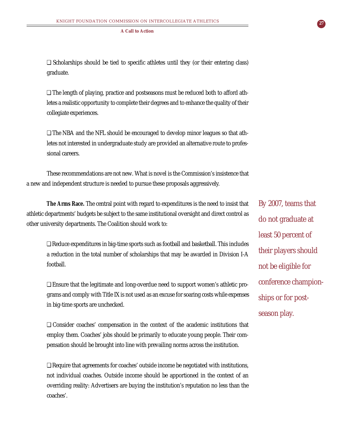❏ Scholarships should be tied to specific athletes until they (or their entering class) graduate.

❏ The length of playing, practice and postseasons must be reduced both to afford athletes a realistic opportunity to complete their degrees and to enhance the quality of their collegiate experiences.

❏ The NBA and the NFL should be encouraged to develop minor leagues so that athletes not interested in undergraduate study are provided an alternative route to professional careers.

These recommendations are not new. What is novel is the Commission's insistence that a new and independent structure is needed to pursue these proposals aggressively.

**The Arms Race.** The central point with regard to expenditures is the need to insist that athletic departments' budgets be subject to the same institutional oversight and direct control as other university departments. The Coalition should work to:

❏ Reduce expenditures in big-time sports such as football and basketball. This includes a reduction in the total number of scholarships that may be awarded in Division I-A football.

❏ Ensure that the legitimate and long-overdue need to support women's athletic programs and comply with Title IX is not used as an excuse for soaring costs while expenses in big-time sports are unchecked.

❏ Consider coaches' compensation in the context of the academic institutions that employ them. Coaches' jobs should be primarily to educate young people. Their compensation should be brought into line with prevailing norms across the institution.

❏ Require that agreements for coaches' outside income be negotiated with institutions, not individual coaches. Outside income should be apportioned in the context of an overriding reality: Advertisers are buying the institution's reputation no less than the coaches'.

By 2007, teams that do not graduate at least 50 percent of their players should not be eligible for conference championships or for postseason play.

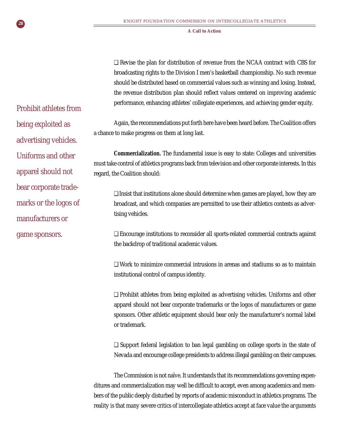❏ Revise the plan for distribution of revenue from the NCAA contract with CBS for broadcasting rights to the Division I men's basketball championship. No such revenue should be distributed based on commercial values such as winning and losing. Instead, the revenue distribution plan should reflect values centered on improving academic performance, enhancing athletes' collegiate experiences, and achieving gender equity.

Again, the recommendations put forth here have been heard before. The Coalition offers a chance to make progress on them at long last.

**Commercialization.** The fundamental issue is easy to state: Colleges and universities must take control of athletics programs back from television and other corporate interests. In this regard, the Coalition should:

❏ Insist that institutions alone should determine when games are played, how they are broadcast, and which companies are permitted to use their athletics contests as advertising vehicles.

❏ Encourage institutions to reconsider all sports-related commercial contracts against the backdrop of traditional academic values.

❏ Work to minimize commercial intrusions in arenas and stadiums so as to maintain institutional control of campus identity.

❏ Prohibit athletes from being exploited as advertising vehicles. Uniforms and other apparel should not bear corporate trademarks or the logos of manufacturers or game sponsors. Other athletic equipment should bear only the manufacturer's normal label or trademark.

❏ Support federal legislation to ban legal gambling on college sports in the state of Nevada and encourage college presidents to address illegal gambling on their campuses.

The Commission is not naïve. It understands that its recommendations governing expenditures and commercialization may well be difficult to accept, even among academics and members of the public deeply disturbed by reports of academic misconduct in athletics programs. The reality is that many severe critics of intercollegiate athletics accept at face value the ar guments

Prohibit athletes from being exploited as advertising vehicles. Uniforms and other apparel should not bear corporate trademarks or the logos of manufacturers or game sponsors.

**28**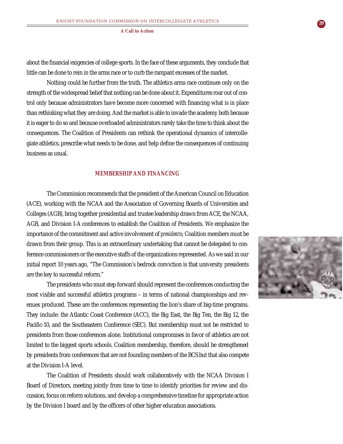about the financial exigencies of college sports. In the face of these arguments, they conclude that little can be done to rein in the arms race or to curb the rampant excesses of the market.

Nothing could be further from the truth. The athletics arms race continues only on the strength of the widespread belief that nothing can be done about it. Expenditures roar out of control only because administrators have become more concerned with financing what is in place than rethinking what they are doing. And the market is able to invade the academy both because it is eager to do so and because overloaded administrators rarely take the time to think about the consequences. The Coalition of Presidents can rethink the operational dynamics of intercollegiate athletics, prescribe what needs to be done, and help define the consequences of continuing business as usual.

### **MEMBERSHIP AND FINANCING**

The Commission recommends that the president of the American Council on Education (ACE), working with the NCAA and the Association of Governing Boards of Universities and Colleges (AGB), bring together presidential and trustee leadership drawn from ACE, the NCAA, AGB, and Division I-A conferences to establish the Coalition of Presidents. We emphasize the importance of the commitment and active involvement of *presidents*; Coalition members must be drawn from their group. This is an extraordinary undertaking that cannot be delegated to conference commissioners or the executive staffs of the organizations represented. As we said in our initial report 10 years ago, "The Commission's bedrock conviction is that university presidents are the key to successful reform."

The presidents who must step forward should represent the conferences conducting the most visible and successful athletics programs – in terms of national championships and revenues produced. These are the conferences representing the lion's share of big-time programs. They include: the Atlantic Coast Conference (ACC), the Big East, the Big Ten, the Big 12, the Pacific-10, and the Southeastern Conference (SEC). But membership must not be restricted to presidents from those conferences alone. Institutional compromises in favor of athletics are not limited to the biggest sports schools. Coalition membership, therefore, should be strengthened by presidents from conferences that are not founding members of the BCS but that also compete at the Division I-A level.

The Coalition of Presidents should work collaboratively with the NCAA Division I Board of Directors, meeting jointly from time to time to identify priorities for review and discussion, focus on reform solutions, and develop a comprehensive timeline for appropriate action by the Division I board and by the officers of other higher education associations.

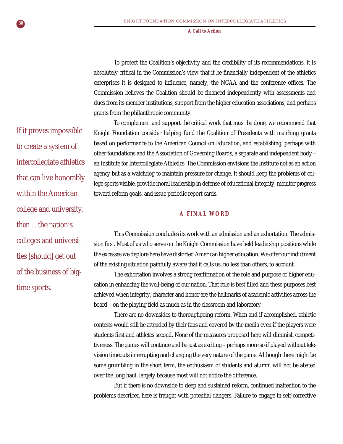To protect the Coalition's objectivity and the credibility of its recommendations, it is absolutely critical in the Commission's view that it be financially independent of the athletics enterprises it is designed to influence, namely, the NCAA and the conference offices. The Commission believes the Coalition should be financed independently with assessments and dues from its member institutions, support from the higher education associations, and perhaps grants from the philanthropic community.

To complement and support the critical work that must be done, we recommend that Knight Foundation consider helping fund the Coalition of Presidents with matching grants based on performance to the American Council on Education, and establishing, perhaps with other foundations and the Association of Governing Boards, a separate and independent body – an Institute for Intercollegiate Athletics. The Commission envisions the Institute not as an action agency but as a watchdog to maintain pressure for change. It should keep the problems of college sports visible, provide moral leadership in defense of educational integrity, monitor progress toward reform goals, and issue periodic report cards.

### **A F I N A L W O R D**

This Commission concludes its work with an admission and an exhortation. The admission first. Most of us who serve on the Knight Commission have held leadership positions while the excesses we deplore here have distorted American higher education. We offer our indictment of the existing situation painfully aware that it calls us, no less than others, to account.

The exhortation involves a strong reaffirmation of the role and purpose of higher education in enhancing the well-being of our nation. That role is best filled and these purposes best achieved when integrity, character and honor are the hallmarks of academic activities across the board – on the playing field as much as in the classroom and laboratory.

There are no downsides to thoroughgoing reform. When and if accomplished, athletic contests would still be attended by their fans and covered by the media even if the players were students first and athletes second. None of the measures proposed here will diminish competitiveness. The games will continue and be just as exciting – perhaps more so if played without television timeouts interrupting and changing the very nature of the game. Although there might be some grumbling in the short term, the enthusiasm of students and alumni will not be abated over the long haul, largely because most will not notice the difference.

But if there is no downside to deep and sustained reform, continued inattention to the problems described here is fraught with potential dangers. Failure to engage in self-corrective

If it proves impossible to create a system of intercollegiate athletics that can live honorably within the American college and university, then … the nation's colleges and universities [should] get out of the business of bigtime sports.

**30**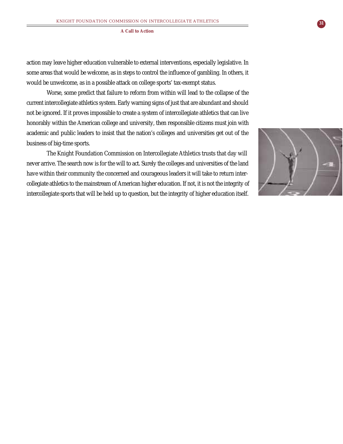action may leave higher education vulnerable to external interventions, especially legislative. In some areas that would be welcome, as in steps to control the influence of gambling. In others, it would be unwelcome, as in a possible attack on college sports' tax-exempt status.

Worse, some predict that failure to reform from within will lead to the collapse of the current intercollegiate athletics system. Early warning signs of just that are abundant and should not be ignored. If it proves impossible to create a system of intercollegiate athletics that can live honorably within the American college and university, then responsible citizens must join with academic and public leaders to insist that the nation's colleges and universities get out of the business of big-time sports.

The Knight Foundation Commission on Intercollegiate Athletics trusts that day will never arrive. The search now is for the will to act. Surely the colleges and universities of the land have within their community the concerned and courageous leaders it will take to return intercollegiate athletics to the mainstream of American higher education. If not, it is not the integrity of intercollegiate sports that will be held up to question, but the integrity of higher education itself.



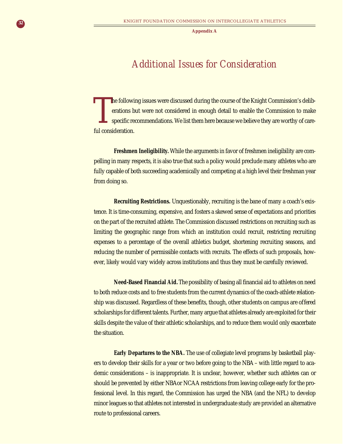**Appendix A**

# *Additional Issues for Consideration*

 $\prod$ he following issues were discussed during the course of the Knight Commission's deliberations but were not considered in enough detail to enable the Commission to make specific recommendations. We list them here because we believe they are worthy of careful consideration.

**Freshmen Ineligibility.** While the arguments in favor of freshmen ineligibility are compelling in many respects, it is also true that such a policy would preclude many athletes who are fully capable of both succeeding academically and competing at a high level their freshman year from doing so.

**Recruiting Restrictions.** Unquestionably, recruiting is the bane of many a coach's existence. It is time-consuming, expensive, and fosters a skewed sense of expectations and priorities on the part of the recruited athlete. The Commission discussed restrictions on recruiting such as limiting the geographic range from which an institution could recruit, restricting recruiting expenses to a percentage of the overall athletics budget, shortening recruiting seasons, and reducing the number of permissible contacts with recruits. The effects of such proposals, however, likely would vary widely across institutions and thus they must be carefully reviewed.

**Need-Based Financial Aid.** The possibility of basing all financial aid to athletes on need to both reduce costs and to free students from the current dynamics of the coach-athlete relationship was discussed. Regardless of these benefits, though, other students on campus are offered scholarships for different talents. Further, many argue that athletes already are exploited for their skills despite the value of their athletic scholarships, and to reduce them would only exacerbate the situation.

**Early Departures to the NBA.** The use of collegiate level programs by basketball players to develop their skills for a year or two before going to the NBA – with little regard to academic considerations – is inappropriate. It is unclear, however, whether such athletes can or should be prevented by either NBAor NCAA restrictions from leaving college early for the professional level. In this regard, the Commission has urged the NBA (and the NFL) to develop minor leagues so that athletes not interested in undergraduate study are provided an alternative route to professional careers.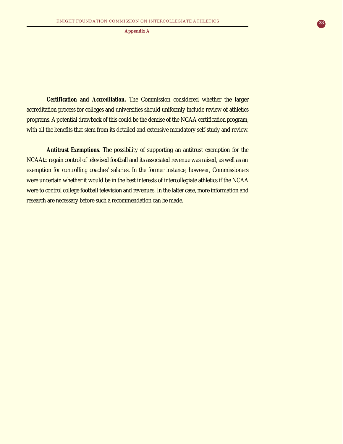**Appendix A**

**Certification and Accreditation.** The Commission considered whether the larger accreditation process for colleges and universities should uniformly include review of athletics programs. A potential drawback of this could be the demise of the NCAA certification program, with all the benefits that stem from its detailed and extensive mandatory self-study and review.

**Antitrust Exemptions.** The possibility of supporting an antitrust exemption for the NCAAto regain control of televised football and its associated revenue was raised, as well as an exemption for controlling coaches' salaries. In the former instance, however, Commissioners were uncertain whether it would be in the best interests of intercollegiate athletics if the NCAA were to control college football television and revenues. In the latter case, more information and research are necessary before such a recommendation can be made.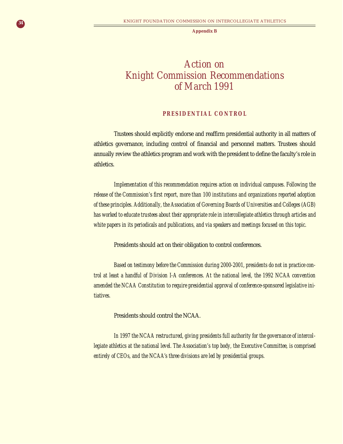**Appendix B**

# *Action on Knight Commission Recommendations of March 1991*

# **PRESIDENTIAL CONTROL**

Trustees should explicitly endorse and reaffirm presidential authority in all matters of athletics governance, including control of financial and personnel matters. Trustees should annually review the athletics program and work with the president to define the faculty's role in athletics.

*Implementation of this recommendation requires action on individual campuses. Following the release of the Commission's first report, more than 100 institutions and organizations reported adoption of these principles. Additionally, the Association of Governing Boards of Universities and Colleges (AGB) has worked to educate trustees about their appropriate role in intercollegiate athletics through articles and white papers in its periodicals and publications, and via speakers and meetings focused on this topic.*

Presidents should act on their obligation to control conferences.

*Based on testimony before the Commission during 2000-2001, presidents do not in practice control at least a handful of Division I-A conferences. At the national level, the 1992 NCAA convention amended the NCAA Constitution to require presidential approval of conference-sponsored legislative initiatives.* 

Presidents should control the NCAA.

*In 1997 the NCAA restructured, giving presidents full authority for the governance of intercollegiate athletics at the national level. The Association's top body, the Executive Committee, is comprised entirely of CEOs, and the NCAA's three divisions are led by presidential groups.*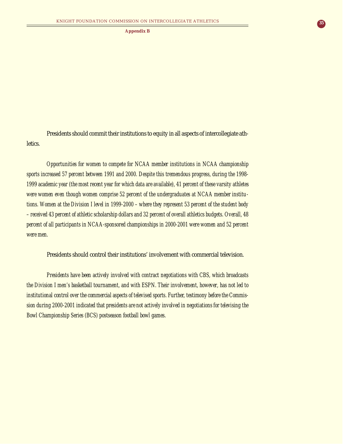**Appendix B**

Presidents should commit their institutions to equity in all aspects of intercollegiate athletics.

*Opportunities for women to compete for NCAA member institutions in NCAA championship sports increased 57 percent between 1991 and 2000. Despite this tremendous progress, during the 1998- 1999 academic year (the most recent year for which data are available), 41 percent of these varsity athletes were women even though women comprise 52 percent of the undergraduates at NCAA member institutions. Women at the Division I level in 1999-2000 – where they represent 53 percent of the student body – received 43 percent of athletic scholarship dollars and 32 percent of overall athletics budgets. Overall, 48 percent of all participants in NCAA-sponsored championships in 2000-2001 were women and 52 percent were men.*

Presidents should control their institutions' involvement with commercial television.

*Presidents have been actively involved with contract negotiations with CBS, which broadcasts the Division I men's basketball tournament, and with ESPN. Their involvement, however, has not led to institutional control over the commercial aspects of televised sports. Further, testimony before the Commission during 2000-2001 indicated that presidents are not actively involved in negotiations for televising the Bowl Championship Series (BCS) postseason football bowl games.*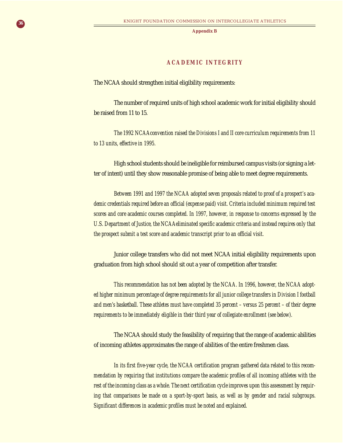**Appendix B**

### **A C A D E M I C I N TE G R I T Y**

The NCAA should strengthen initial eligibility requirements:

**36**

The number of required units of high school academic work for initial eligibility should be raised from 11 to 15.

*The 1992 NCAAconvention raised the Divisions I and II core curriculum requirements from 11 to 13 units, effective in 1995.* 

High school students should be ineligible for reimbursed campus visits (or signing a letter of intent) until they show reasonable promise of being able to meet degree requirements.

*Between 1991 and 1997 the NCAA adopted seven proposals related to proof of a prospect's academic credentials required before an official (expense paid) visit. Criteria included minimum required test scores and core academic courses completed. In 1997, however, in response to concerns expressed by the U.S. Department of Justice, the NCAAeliminated specific academic criteria and instead requires only that the prospect submit a test score and academic transcript prior to an official visit.* 

Junior college transfers who did not meet NCAA initial eligibility requirements upon graduation from high school should sit out a year of competition after transfer.

*This recommendation has not been adopted by the NCAA. In 1996, however, the NCAA adopted higher minimum percentage of degree requirements for all junior college transfers in Division I football and men's basketball. These athletes must have completed 35 percent – versus 25 percent – of their degre e requirements to be immediately eligible in their third year of collegiate enrollment (see below).*

The NCAA should study the feasibility of requiring that the range of academic abilities of incoming athletes approximates the range of abilities of the entire freshmen class.

*In its first five-year cycle, the NCAA certification program gathered data related to this recommendation by requiring that institutions compare the academic profiles of all incoming athletes with the rest of the incoming class as a whole. The next certification cycle improves upon this assessment by requiring that comparisons be made on a sport-by-sport basis, as well as by gender and racial subgroups. Significant differences in academic profiles must be noted and explained.*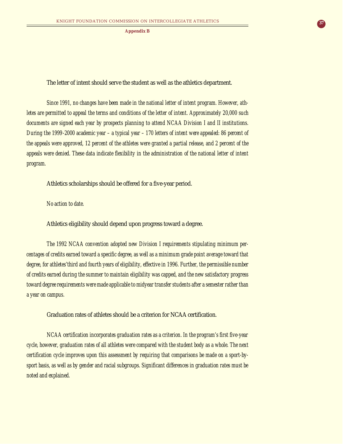**Appendix B**

The letter of intent should serve the student as well as the athletics department.

*Since 1991, no changes have been made in the national letter of intent program. However, athletes are permitted to appeal the terms and conditions of the letter of intent. Approximately 20,000 such documents are signed each year by prospects planning to attend NCAA Division I and II institutions. During the 1999-2000 academic year – a typical year – 170 letters of intent were appealed: 86 percent of the appeals were approved, 12 percent of the athletes were granted a partial release, and 2 percent of the appeals were denied. These data indicate flexibility in the administration of the national letter of intent program.* 

Athletics scholarships should be offered for a five-year period.

*No action to date.*

Athletics eligibility should depend upon progress toward a degree.

*The 1992 NCAA convention adopted new Division I requirements stipulating minimum percentages of credits earned toward a specific degree, as well as a minimum grade point average toward that degree, for athletes'third and fourth years of eligibility, effective in 1996. Further, the permissible number of credits earned during the summer to maintain eligibility was capped, and the new satisfactory progress toward degree requirements were made applicable to midyear transfer students after a semester rather than a year on campus.*

Graduation rates of athletes should be a criterion for NCAA certification.

*NCAA certification incorporates graduation rates as a criterion. In the program's first five-year cycle, however, graduation rates of all athletes were compared with the student body as a whole. The next certification cycle improves upon this assessment by requiring that comparisons be made on a sport-bysport basis, as well as by gender and racial subgroups. Significant differences in graduation rates must be noted and explained.*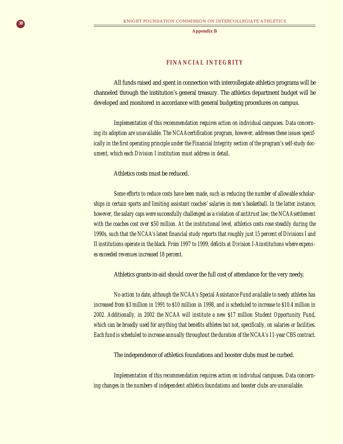**Appendix B**

### **FINANCIAL INTEGRITY**

All funds raised and spent in connection with intercollegiate athletics programs will be channeled through the institution's general treasury. The athletics department budget will be developed and monitored in accordance with general budgeting procedures on campus.

*Implementation of this recommendation requires action on individual campuses. Data concerning its adoption are unavailable. The NCAAcertification program, however, addresses these issues specifically in the first operating principle under the Financial Integrity section of the program's self-study document, which each Division I institution must address in detail.*

Athletics costs must be reduced.

**38**

*Some efforts to reduce costs have been made, such as reducing the number of allowable scholarships in certain sports and limiting assistant coaches' salaries in men's basketball. In the latter instance, however, the salary caps were successfully challenged as a violation of antitrust law; the NCAAsettlement with the coaches cost over \$50 million. At the institutional level, athletics costs rose steadily during the 1990s, such that the NCAA's latest financial study reports that roughly just 15 percent of Divisions I and II institutions operate in the black. From 1997 to 1999, deficits at Division I-Ainstitutions where expenses exceeded revenues increased 18 percent.*

Athletics grants-in-aid should cover the full cost of attendance for the very needy.

*No action to date, although the NCAA's Special Assistance Fund available to needy athletes has increased from \$3 million in 1991 to \$10 million in 1998, and is scheduled to increase to \$10.4 million in 2002. Additionally, in 2002 the NCAA will institute a new \$17 million Student Opportunity Fund, which can be broadly used for anything that benefits athletes but not, specifically, on salaries or facilities. Each fund is scheduled to increase annually throughout the duration of the NCAA's 11-year CBS contract.* 

The independence of athletics foundations and booster clubs must be curbed.

*Implementation of this recommendation requires action on individual campuses. Data concerning changes in the numbers of independent athletics foundations and booster clubs are unavailable.*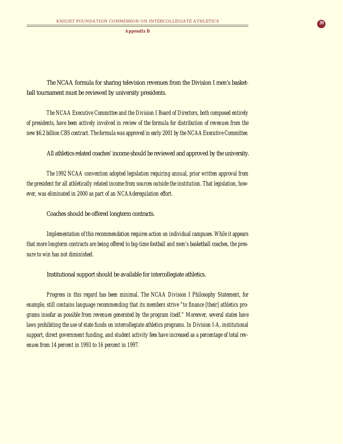**Appendix B**

The NCAA formula for sharing television revenues from the Division I men's basketball tournament must be reviewed by university presidents.

*The NCAA Executive Committee and the Division I Board of Directors, both composed entirely of presidents, have been actively involved in review of the formula for distribution of revenues from the new \$6.2 billion CBS contract. The formula was approved in early 2001 by the NCAA Executive Committee.*

All athletics-related coaches' income should be reviewed and approved by the university.

*The 1992 NCAA convention adopted legislation requiring annual, prior written approval from the president for all athletically related income from sources outside the institution. That legislation, however, was eliminated in 2000 as part of an NCAAderegulation effort.* 

Coaches should be offered longterm contracts.

*Implementation of this recommendation requires action on individual campuses. While it appears that more longterm contracts are being offered to big-time football and men's basketball coaches, the pressure to win has not diminished.* 

Institutional support should be available for intercollegiate athletics.

*Progress in this regard has been minimal. The NCAA Division I Philosophy Statement, for example, still contains language recommending that its members strive "to finance [their] athletics programs insofar as possible from revenues generated by the program itself." Moreover, several states have laws prohibiting the use of state funds on intercollegiate athletics programs. In Division I-A, institutional support, direct government funding, and student activity fees have increased as a percentage of total revenues from 14 percent in 1993 to 16 percent in 1997.*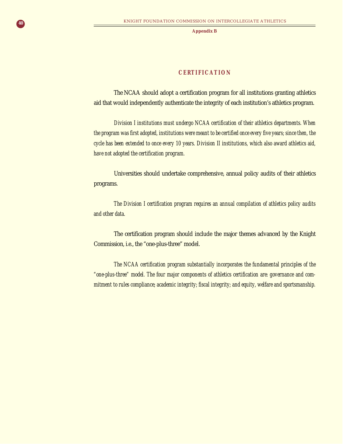**Appendix B**

### **C E RT I F I C AT I O N**

The NCAA should adopt a certification program for all institutions granting athletics aid that would independently authenticate the integrity of each institution's athletics program.

*Division I institutions must undergo NCAA certification of their athletics departments. When the program was first adopted, institutions were meant to be certified once every five years; since then, the cycle has been extended to once every 10 years. Division II institutions, which also award athletics aid, have not adopted the certification program.* 

Universities should undertake comprehensive, annual policy audits of their athletics programs.

*The Division I certification program requires an annual compilation of athletics policy audits and other data.*

The certification program should include the major themes advanced by the Knight Commission, i.e., the "one-plus-three" model.

*The NCAA certification program substantially incorporates the fundamental principles of the "one-plus-three" model. The four major components of athletics certification are: governance and commitment to rules compliance; academic integrity; fiscal integrity; and equity, welfare and sportsmanship.*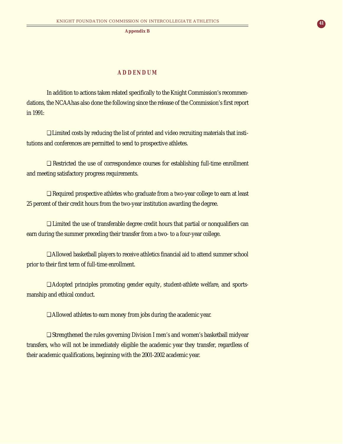**Appendix B**

### **A D D E N D U M**

In addition to actions taken related specifically to the Knight Commission's recommendations, the NCAAhas also done the following since the release of the Commission's first report in 1991:

❏ Limited costs by reducing the list of printed and video recruiting materials that institutions and conferences are permitted to send to prospective athletes.

❏ Restricted the use of correspondence courses for establishing full-time enrollment and meeting satisfactory progress requirements.

❏ Required prospective athletes who graduate from a two-year college to earn at least 25 percent of their credit hours from the two-year institution awarding the degree.

❏ Limited the use of transferable degree credit hours that partial or nonqualifiers can earn during the summer preceding their transfer from a two- to a four-year college.

❏ Allowed basketball players to receive athletics financial aid to attend summer school prior to their first term of full-time enrollment.

❏ Adopted principles promoting gender equity, student-athlete welfare, and sportsmanship and ethical conduct.

❏ Allowed athletes to earn money from jobs during the academic year.

❏ Strengthened the rules governing Division I men's and women's basketball midyear transfers, who will not be immediately eligible the academic year they transfer, regardless of their academic qualifications, beginning with the 2001-2002 academic year.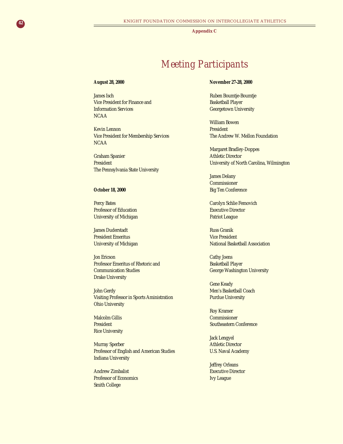**Appendix C**

# *Meeting Participants*

### **August 28, 2000**

James Isch Vice President for Finance and Information Services NCAA

Kevin Lennon Vice President for Membership Services NCAA

Graham Spanier President The Pennsylvania State University

#### **October 18, 2000**

Percy Bates Professor of Education University of Michigan

James Duderstadt President Emeritus University of Michigan

Jon Ericson Professor Emeritus of Rhetoric and Communication Studies Drake University

John Gerdy Visiting Professor in Sports Aministration Ohio University

Malcolm Gillis President Rice University

Murray Sperber Professor of English and American Studies Indiana University

Andrew Zimbalist Professor of Economics Smith College

#### **November 27-28, 2000**

Ruben Boumtje-Boumtje Basketball Player Georgetown University

William Bowen President The Andrew W. Mellon Foundation

Margaret Bradley-Doppes Athletic Director University of North Carolina, Wilmington

James Delany Commissioner Big Ten Conference

Carolyn Schlie Femovich Executive Director Patriot League

Russ Granik Vice President National Basketball Association

Cathy Joens Basketball Player George Washington University

Gene Keady Men's Basketball Coach Purdue University

Roy Kramer Commissioner Southeastern Conference

Jack Lengyel Athletic Director U.S. Naval Academy

Jeffrey Orleans Executive Director Ivy League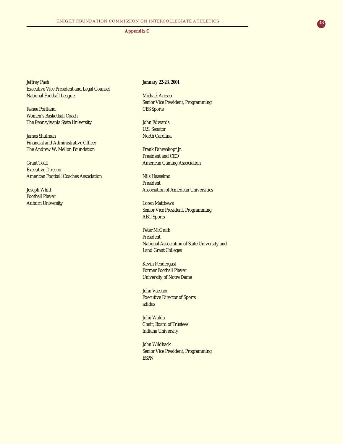### **Appendix C**

Jeffrey Pash Executive Vice President and Legal Counsel National Football League

Renee Portland Women's Basketball Coach The Pennsylvania State University

James Shulman Financial and Administrative Officer The Andrew W. Mellon Foundation

Grant Teaff Executive Director American Football Coaches Association

Joseph Whitt Football Player Auburn University

#### **January 22-23, 2001**

Michael Aresco Senior Vice President, Programming CBS Sports

**43**

John Edwards U.S. Senator North Carolina

Frank Fahrenkopf Jr. President and CEO American Gaming Association

Nils Hasselmo President Association of American Universities

Loren Matthews Senior Vice President, Programming ABC Sports

Peter McGrath President National Association of State University and Land Grant Colleges

Kevin Pendergast Former Football Player University of Notre Dame

John Vaccaro Executive Director of Sports adidas

John Walda Chair, Board of Trustees Indiana University

John Wildhack Senior Vice President, Programming ESPN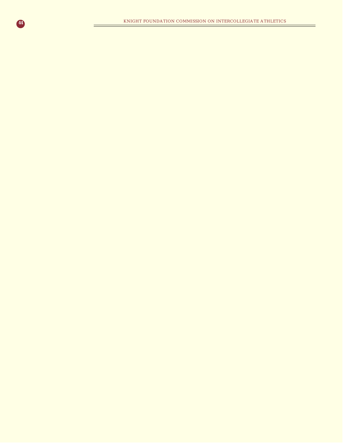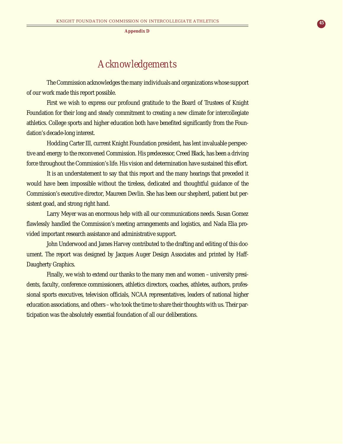**Appendix D**

# *Acknowledgements*

The Commission acknowledges the many individuals and organizations whose support of our work made this report possible.

First we wish to express our profound gratitude to the Board of Trustees of Knight Foundation for their long and steady commitment to creating a new climate for intercollegiate athletics. College sports and higher education both have benefited significantly from the Foundation's decade-long interest.

Hodding Carter III, current Knight Foundation president, has lent invaluable perspective and energy to the reconvened Commission. His predecessor, Creed Black, has been a driving force throughout the Commission's life. His vision and determination have sustained this effort.

It is an understatement to say that this report and the many hearings that preceded it would have been impossible without the tireless, dedicated and thoughtful guidance of the Commission's executive director, Maureen Devlin. She has been our shepherd, patient but persistent goad, and strong right hand.

Larry Meyer was an enormous help with all our communications needs. Susan Gomez flawlessly handled the Commission's meeting arrangements and logistics, and Nada Elia provided important research assistance and administrative support.

John Underwood and James Harvey contributed to the drafting and editing of this document. The report was designed by Jacques Auger Design Associates and printed by Haff-Daugherty Graphics.

Finally, we wish to extend our thanks to the many men and women – university presidents, faculty, conference commissioners, athletics directors, coaches, athletes, authors, professional sports executives, television officials, NCAA representatives, leaders of national higher education associations, and others – who took the time to share their thoughts with us. Their participation was the absolutely essential foundation of all our deliberations.

**45**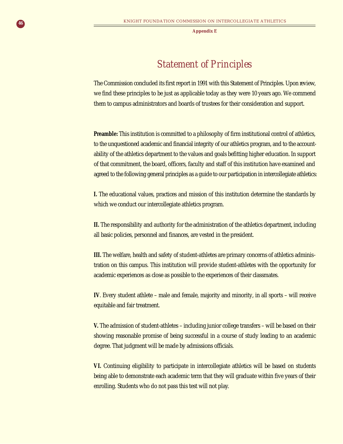**Appendix E**

# *Statement of Principles*

The Commission concluded its first report in 1991 with this Statement of Principles. Upon review, we find these principles to be just as applicable today as they were 10 years ago. We commend them to campus administrators and boards of trustees for their consideration and support.

**Preamble:** This institution is committed to a philosophy of firm institutional control of athletics, to the unquestioned academic and financial integrity of our athletics program, and to the accountability of the athletics department to the values and goals befitting higher education. In support of that commitment, the board, officers, faculty and staff of this institution have examined and agreed to the following general principles as a guide to our participation in intercollegiate athletics:

**I.** The educational values, practices and mission of this institution determine the standards by which we conduct our intercollegiate athletics program.

**II.** The responsibility and authority for the administration of the athletics department, including all basic policies, personnel and finances, are vested in the president.

**III.** The welfare, health and safety of student-athletes are primary concerns of athletics administration on this campus. This institution will provide student-athletes with the opportunity for academic experiences as close as possible to the experiences of their classmates.

**IV**. Every student athlete – male and female, majority and minority, in all sports – will receive equitable and fair treatment.

**V.** The admission of student-athletes – including junior college transfers – will be based on their showing reasonable promise of being successful in a course of study leading to an academic degree. That judgment will be made by admissions officials.

**VI.** Continuing eligibility to participate in intercollegiate athletics will be based on students being able to demonstrate each academic term that they will graduate within five years of their enrolling. Students who do not pass this test will not play.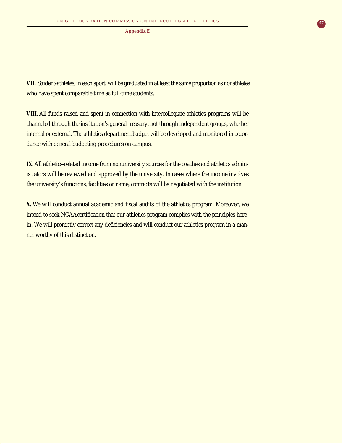**Appendix E**

**VII.** Student-athletes, in each sport, will be graduated in at least the same proportion as nonathletes who have spent comparable time as full-time students.

**VIII.** All funds raised and spent in connection with intercollegiate athletics programs will be channeled through the institution's general treasury, not through independent groups, whether internal or external. The athletics department budget will be developed and monitored in accordance with general budgeting procedures on campus.

**IX.** All athletics-related income from nonuniversity sources for the coaches and athletics administrators will be reviewed and approved by the university. In cases where the income involves the university's functions, facilities or name, contracts will be negotiated with the institution.

**X.** We will conduct annual academic and fiscal audits of the athletics program. Moreover, we intend to seek NCAAcertification that our athletics program complies with the principles herein. We will promptly correct any deficiencies and will conduct our athletics program in a manner worthy of this distinction.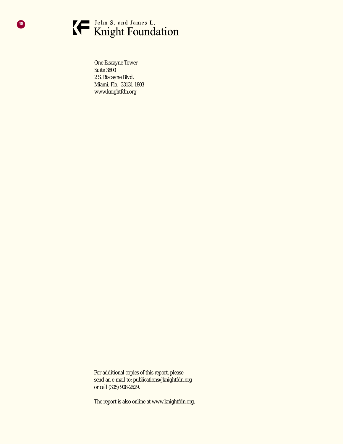

One Biscayne Tower Suite 3800 2 S. Biscayne Blvd. Miami, Fla. 33131-1803 www.knightfdn.org

For additional copies of this report, please send an e-mail to: publications@knightfdn.org or call (305) 908-2629.

The report is also online at www.knightfdn.org.